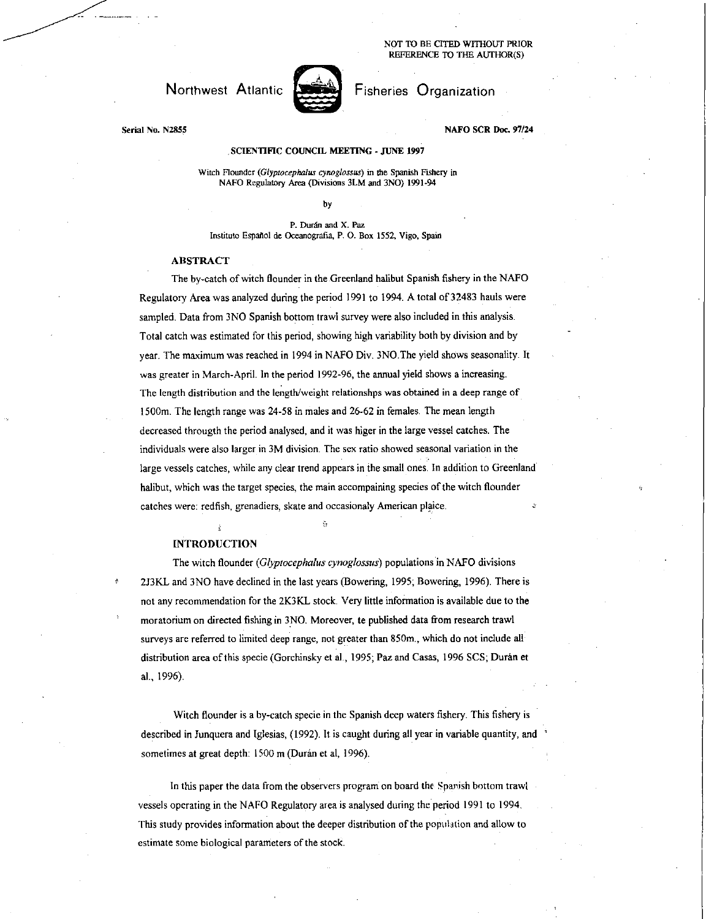#### NOT TO BE CITED WITHOUT PRIOR REFERENCE TO THE AUTHOR(S)

## Northwest Atlantic **Northwest Atlantic Report Fisheries Organization**



### Serial No. N2855 NAFO SCR Doc. 97/24

#### SCIENTIFIC COUNCIL MEETING - JUNE 1997

Witch flounder *(Glyptocephalus cynoglossus)* in the Spanish Fishery in NAFO Regulatory Area (Divisions 3LM and 3NO) 1991-94

by

P. Duran and X. Paz Institute Espaitol de Oceanografia, P. 0. Box 1552, Vigo, Spain

#### ABSTRACT

The by-catch of witch flounder in the. Greenland halibut Spanish fishery in the NAFO Regulatory Area was analyzed during the period 1991 to 1994. A total of 32483 hauls were sampled. Data from 3N0 Spanish bottom trawl survey were also included in this analysis. Total catch was estimated for this period, showing high variability both by division and by year. The maximum was reached in 1994 in NAFO Div. 3NO.The yield shows seasonality. It was greater in March-April. In the period 1992-96, the annual yield shows a increasing. The length distribution and the length/weight relationshps was obtained in a deep range of 1500m. The length range was 24-58 in males and 26-62 in females. The mean length decreased througth the period analysed, and it was higer in the large vessel catches. The individuals were also larger in 3M division. The sex ratio showed seasonal variation in the large vessels catches, while any clear trend appears in the small ones. In addition to Greenland halibut, which was the target species, the main accompaining species of the witch flounder catches were: redfish, grenadiers, skate and occasionaly American plaice.

#### INTRODUCTION

The witch flounder *(Glyptocephalus cynoglossus)* populations in NAFO divisions 2J3KL and 3N0 have declined in the last years (Bowering, 1995; Bowering, 1996). There is not any recommendation for the 2K3KL stock. Very little information is available due to the moratorium on directed fishing in 3N0. Moreover, to published data from research trawl surveys are referred to limited deep range, not greater than 850m., which do not include all distribution area of this specie (Gorchinsky et al., 1995; Paz and Casas, 1996 SCS; Durán et al., 1996).

Witch flounder is a by-catch specie in the Spanish deep waters fishery. This fishery is described in Junquera and Iglesias, (1992). It is caught during all year in variable quantity, and sometimes at great depth: 1500 m (Durán et al, 1996).

In this paper the data from the observers program on board the Spanish bottom trawl vessels operating in the NAFO Regulatory area is analysed during the period 1991 to 1994. This study provides information about the deeper distribution of the population and allow to estimate some biological parameters of the stock.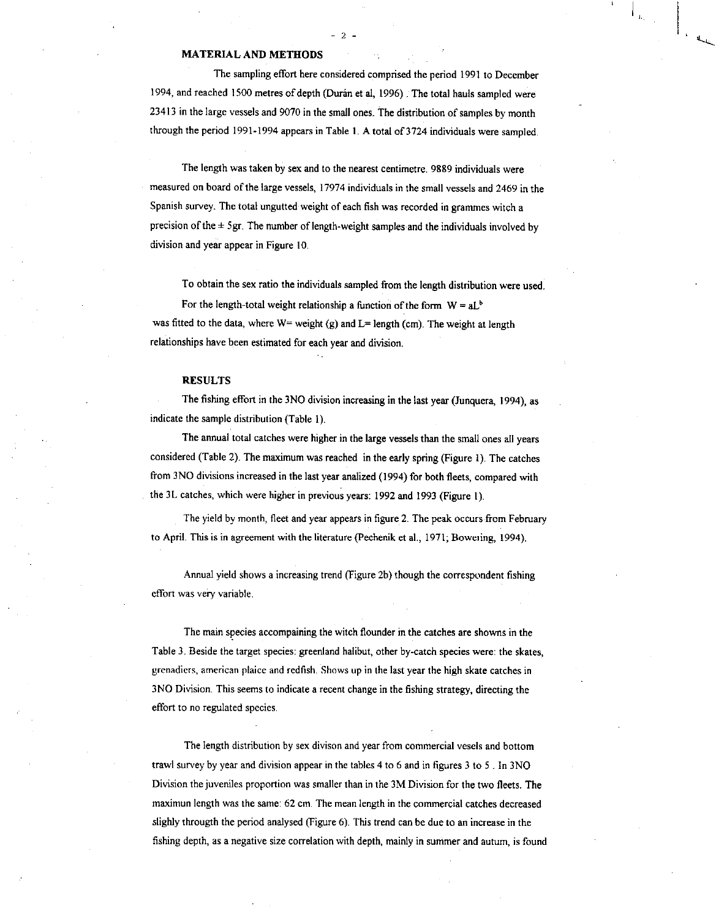#### MATERIAL AND METHODS

The sampling effort here considered comprised the period 1991 to December 1994, and reached 1500 metres of depth (Durán et al, 1996) . The total hauls sampled were 23413 in the large vessels and 9070 in the small ones. The distribution of samples by month through the period 1991-1994 appears in Table 1. A total of 3724 individuals were sampled.

The length was taken by sex and to the nearest centimetre. 9889 individuals were measured on board of the large vessels, 17974 individuals in the small vessels and 2469 in the Spanish survey. The total ungutted weight of each fish was recorded in grammes witch a precision of the  $\pm$  5gr. The number of length-weight samples and the individuals involved by division and year appear in Figure 10.

To obtain the sex ratio the individuals sampled from the length distribution were used.

For the length-total weight relationship a function of the form  $W = aL<sup>b</sup>$ was fitted to the data, where  $W=$  weight (g) and  $L=$  length (cm). The weight at length relationships have been estimated for each year and division.

#### RESULTS

The fishing effort in the 3N0 division increasing in the last year (Junquera, 1994), as indicate the sample distribution (Table I).

The annual total catches were higher in the large vessels than the small ones all years considered (Table 2). The maximum was reached in the early spring (Figure 1). The catches from 3N0 divisions increased in the last year analized (1994) for both fleets, compared with the 3L catches, which were higher in previous years: 1992 and 1993 (Figure I).

The yield by month, fleet and year appears in figure 2. The peak occurs from February to April. This is in agreement with the literature (Pechenik et al., 1971; Boweiing, 1994).

Annual yield shows a increasing trend (Figure 2b) though the correspondent fishing effort was very variable.

The main species accompaining the witch flounder in the catches are showns in the Table 3. Beside the target species: greenland halibut, other by-catch species were: the skates, grenadiers, american plaice and redfish Shows up in the last year the high skate catches in 3N0 Division. This seems to indicate a recent change in the fishing strategy, directing the effort to no regulated species.

The length distribution by sex divison and year from commercial vesels and bottom trawl survey by year and division appear in the tables 4 to 6 and in figures 3 to 5 . In 3N0 Division the juveniles proportion was smaller than in the 3M Division for the two fleets. The maximun length was the same: 62 cm. The mean length in the commercial catches decreased slighly througth the period analysed (Figure 6). This trend can be due to an increase in the fishing depth, as a negative size correlation with depth, mainly in summer and autum, is found

# $- 2 -$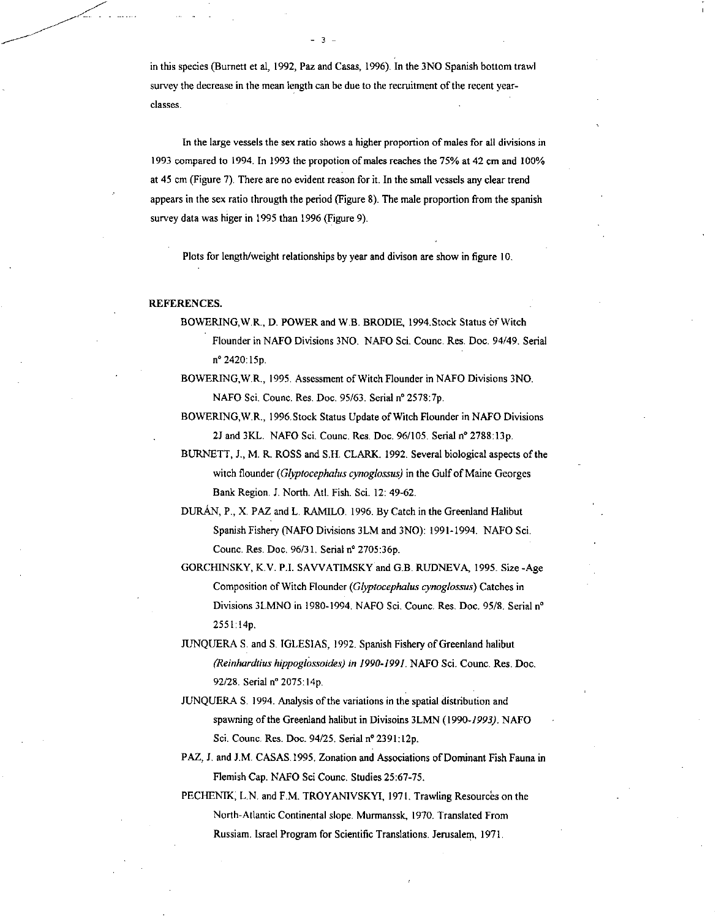in this species (Burnett et al, 1992, Paz and Casas, 1996). In the 3NO Spanish bottom trawl survey the decrease in the mean length can be due to the recruitment of the recent yearclasses.

 $-3 -$ 

In the large vessels the sex ratio shows a higher proportion of males for all divisions in 1993 compared to 1994. In 1993 the propotion of males reaches the 75% at 42 cm and 100% at 45 cm (Figure 7). There are no evident reason for it. In the small vessels any clear trend appears in the sex ratio througth the period (Figure 8). The male proportion from the spanish survey data was higer in 1995 than 1996 (Figure 9).

Plots for length/weight relationships by year and divison are show in figure 10.

#### REFERENCES.

BOWERING, W.R., D. POWER and W.B. BRODIE, 1994. Stock Status of Witch Flounder in NAFO Divisions 3NO. NAFO Sci. Counc. Res. Doc. 94/49. Serial n° 2420:15p.

BOWERING,W.R., 1995. Assessment of Witch Flounder in NAFO Divisions 3NO. NAFO Sci. Counc. Res. Doc. 95/63. Serial n° 2578:7p.

BOWERING,W.R., 1996.Stock Status Update of Witch Flounder in NAFO Divisions 2J and 3KL. NAFO Sci. Counc. Res. Doc. 96/105. Serial nº 2788:13p.

BURNETT, J., M. R. ROSS and S.H. CLARK. 1992. Several biological aspects of the witch flounder *(Glyptocephalus cynoglossus)* in the Gulf of Maine Georges Bank Region. J. North. Atl. Fish. Sci. 12: 49-62.

- DURAN, P., X. PAZ and L. RAMILO. 1996. By Catch in the Greenland Halibut Spanish Fishery (NAFO Divisions 3LM and 3N0): 1991-1994. NAFO Sci. Counc. Res. Doc. 96/31. Serial n° 2705:36p.
- GORCHINSKY, K.V. P.I. SAVVATIMSKY and G.B. RUDNEVA, 1995. Size -Age Composition of Witch Flounder *(Glyptocephalus cynoglossus)* Catches in Divisions 31-MNO in 1980-1994. NAFO Sci. Counc. Res. Doc. 95/8. Serial n° 2551:14p.
- JUNQUERA S. and S. IGLESIAS, 1992. Spanish Fishery of Greenland halibut *(Reinhardtius hippoglossoides) in 1990-1991.* NAFO Sci. Counc. Res. Doc. 92/28. Serial n° 2075:14p.
- JUNQUERA S. 1994. Analysis of the variations in the spatial distribution and spawning of the Greenland halibut in Divisoins 3LMN (1990-1993). NAFO Sci. Counc. Res. Doc. 94/25. Serial n° 2391:12p.
- PAZ, J. and J.M. CASAS.1995. Zonation and Associations of Dominant Fish Fauna in Flemish Cap. NAFO Sci Counc. Studies 25:67-75.
- PECHENIK, L.N. and F.M. TROYANIVSKYI, 1971. Trawling Resources on the North-Atlantic Continental slope. Murmanssk, 1970. Translated From Russiam. Israel Program for Scientific Translations. Jerusalem, 1971.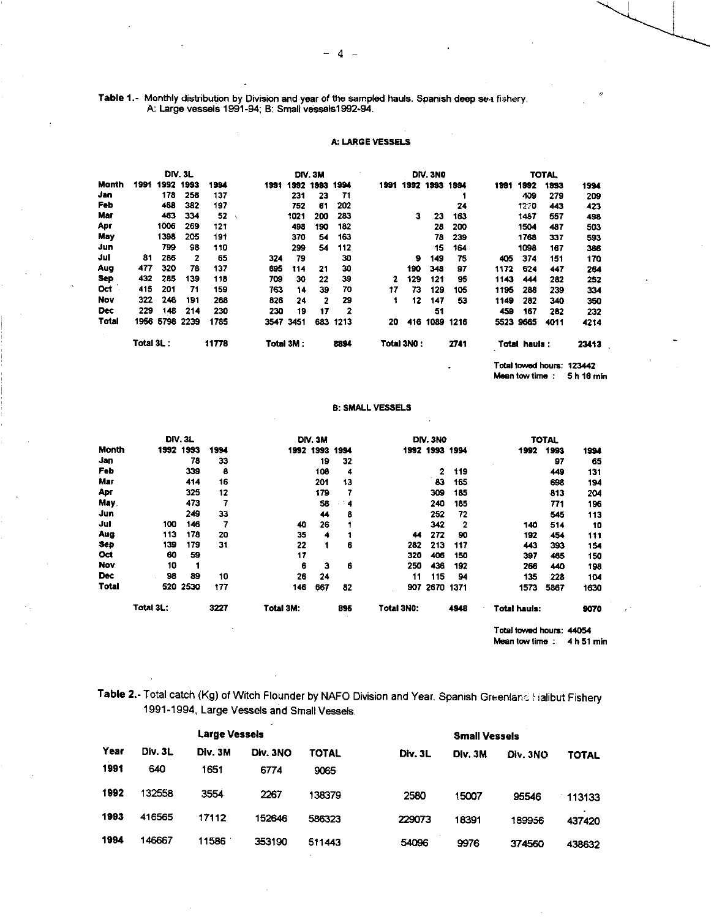Table 1.- Monthly distribution by Division and year of the sampled hauls. Spanish deep sea fishery. A: Large vessels 1991-94; B: Small vessels1992-94.

### **A: LARGE VESSELS**

|            | <b>DIV. 3L</b> |           |      |       |      | DIV. 3M   |      |      | DIV.3NO |            |           | <b>TOTAL</b> |      |               |                           |       |
|------------|----------------|-----------|------|-------|------|-----------|------|------|---------|------------|-----------|--------------|------|---------------|---------------------------|-------|
| Month      | 1991           | 1992      | 1993 | 1994  | 1991 | 1992      | 1993 | 1994 | 1991    |            | 1992 1993 | 1994         | 1991 | 1992          | 1993                      | 1994  |
| Jan        |                | 178       | 256  | 137   |      | 231       | 23   | 71   |         |            |           |              |      | 409           | 279                       | 209   |
| Feb        |                | 468       | 382  | 197   |      | 752       | 61   | 202  |         |            |           | 24           |      | 1220          | 443                       | 423   |
| Mar        |                | 463       | 334  | 52    |      | 1021      | 200  | 283  |         | з          | 23        | 163          |      | 1487          | 557                       | 498   |
| Apr        |                | 1006      | 269  | 121   |      | 498       | 190  | 182  |         |            | 28        | 200          |      | 1504          | 487                       | 503   |
| May        |                | 1398      | 205  | 191   |      | 370       | 54   | 163  |         |            | 78        | 239          |      | 1768          | 337                       | 593   |
| Jun        |                | 799       | 98   | 110   |      | 299       | 54   | 112  |         |            | 15        | 164          |      | 1098          | 167                       | 386   |
| Jul        | 81             | 286       | 2    | 65    | 324  | 79        |      | 30   |         | 9          | 149       | 75           | 405  | 374           | 151                       | 170   |
| Aug        | 477            | 320       | 78   | 137   | 695  | 114       | 21   | 30   |         | 190        | 348       | 97           | 1172 | 624           | 447                       | 264   |
| Sep        | 432            | 285       | 139  | 118   | 709  | 30        | 22   | 39   | 2       | 129        | 121       | 95           | 1143 | 444           | 282                       | 252   |
| Oct        | 415            | 201       | 71   | 159   | 763  | 14        | 39   | 70   | 17      | 73         | 129       | 105          | 1195 | 288           | 239                       | 334   |
| Nov        | 322            | 246       | 191  | 268   | 826  | 24        | 2    | 29   | 1       | 12         | 147       | 53           | 1149 | 282           | 340                       | 350   |
| <b>Dec</b> | 229            | 148       | 214  | 230   | 230  | 19        | 17   | 2    |         |            | 51        |              | 459  | 167           | 282                       | 232   |
| Total      |                | 1956 5798 | 2239 | 1785  | 3547 | 3451      | 683  | 1213 | 20      | 416        | 1089      | 1216         |      | 5523 9665     | 4011                      | 4214  |
|            | Total 3L :     |           |      | 11778 |      | Total 3M: |      | 8894 |         | Total 3NO: |           | 2741         |      | Total hauls : |                           | 23413 |
|            |                |           |      |       |      |           |      |      |         |            |           | ٠            |      |               | Total towed hours: 123442 |       |

**Mean tow time : 5 h 18 min** 

#### B: SMALL **VESSELS**

|              |           | <b>DIV. 3L</b> |      |                  | DIV. 3M |      |            | DIV.3NO        |                |                          | <b>TOTAL</b> |      |
|--------------|-----------|----------------|------|------------------|---------|------|------------|----------------|----------------|--------------------------|--------------|------|
| Month        |           | 1992 1993      | 1994 | 1992 1993        |         | 1994 |            | 1992 1993 1994 |                | 1992                     | 1993         | 1994 |
| Jan          |           | 78             | 33   |                  | 19      | 32   |            |                |                |                          | 97           | 65   |
| Feb          |           | 339            | 8    |                  | 108     | 4    |            | 2              | 119            |                          | 449          | 131  |
| Mar          |           | 414            | 16   |                  | 201     | 13   |            | 83             | 165            |                          | 698          | 194  |
| Apr          |           | 325            | 12   |                  | 179     | 7    |            | 309            | 185            |                          | 813          | 204  |
| <b>May</b>   |           | 473            | 7    |                  | 58      | 4    |            | 240            | 185            |                          | 771          | 196  |
| Jun          |           | 249            | 33   |                  | 44      | 8    |            | 252            | 72             |                          | 545          | 113  |
| Jul          | 100       | 146            | 7    | 40               | 26      |      |            | 342            | $\overline{2}$ | 140                      | 514          | 10   |
| Aug          | 113       | 178            | 20   | 35               | 4       |      | 44         | 272            | 90             | 192                      | 454          | 111  |
| Sep          | 139       | 179            | 31   | 22               |         | 6    | 282        | 213            | 117            | 443                      | 393          | 154  |
| Oct          | 60        | 59             |      | 17               |         |      | 320        | 406            | 150            | 397                      | 465          | 150  |
| Nov          | 10        | 1              |      | 6                | 3       | 6    | 250        | 436            | 192            | 266                      | 440          | 198  |
| <b>Dec</b>   | 98        | 89             | 10   | 26               | 24      |      | 11         | 115            | 94             | 135                      | 228          | 104  |
| <b>Total</b> |           | 520 2530       | 177  | 146              | 667     | 82   | 907        | 2670 1371      |                | 1573                     | 5867         | 1630 |
|              | Total 3L: |                | 3227 | <b>Total 3M:</b> |         | 895  | Total 3N0: |                | 4948           | Total hauls:             |              | 9070 |
|              |           |                |      |                  |         |      |            |                |                | Total towed hours: 44054 |              |      |

**Mean tow time : 4 h 51 min** 

**Table 2. -** Total catch (Kg) of Witch Flounder by NAFO Division and Year. Spanish Greenlanc. Halibut Fishery 1991-1994, Large Vessels and Small Vessels.

|      |         | <b>Large Vessels</b> |          |        |         |         |          |              |
|------|---------|----------------------|----------|--------|---------|---------|----------|--------------|
| Year | Div. 3L | Div. 3M              | Div. 3NO | TOTAL  | Div. 3L | Div. 3M | Div. 3NO | <b>TOTAL</b> |
| 1991 | 640     | 1651                 | 6774     | 9065   |         |         |          |              |
| 1992 | 132558  | 3554                 | 2267     | 138379 | 2580    | 15007   | 95546    | 113133       |
| 1993 | 416565  | 17112                | 152646   | 586323 | 229073  | 18391   | 189956   | 437420       |
| 1994 | 146667  | 11586                | 353190   | 511443 | 54096   | 9976    | 374560   | 438632       |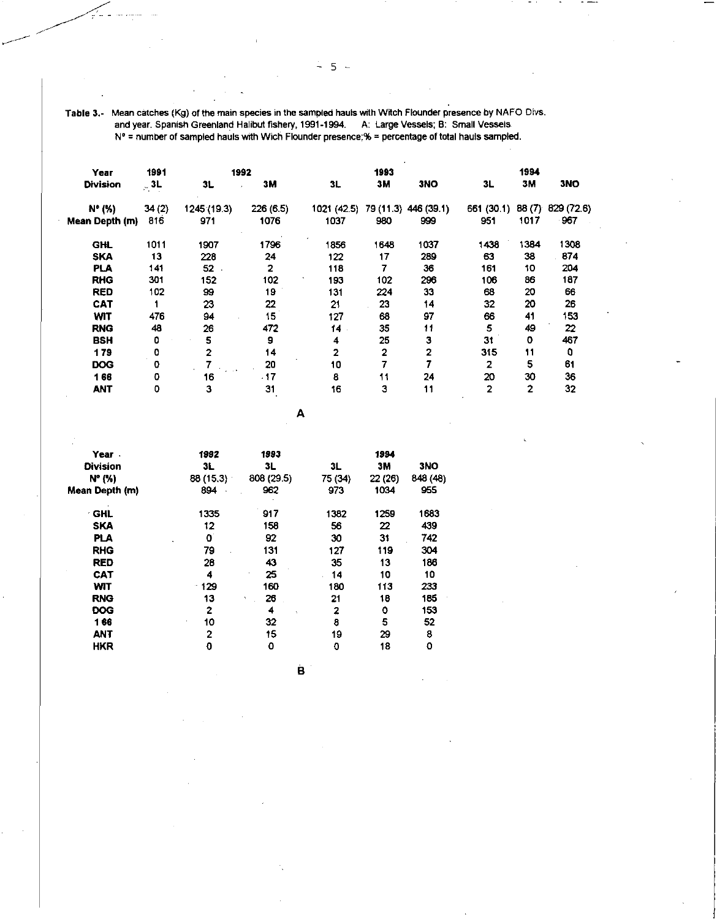Table 3.- Mean catches (Kg) of the main species in the sampled hauls with Witch Flounder presence by NAFO Divs. and year. Spanish Greenland Halibut fishery, 1991-1994. A: Large Vessels; B: Small Vessels . N° = number of sampled hauls with Wich Flounder presence;% = percentage of total hauls sampled.

| Year            | 1991      |                       | 1992         |                                  | 1993           |      |                | 1994           |            |
|-----------------|-----------|-----------------------|--------------|----------------------------------|----------------|------|----------------|----------------|------------|
| <b>Division</b> | $\sim$ 3L | 3L                    | 3M           | 3L                               | зм             | 3NO  | 3L             | 3M             | <b>3NO</b> |
| N° (%)          | 34(2)     | 1245 (19.3)           | 226(6.5)     | 1021 (42.5) 79 (11.3) 446 (39.1) |                |      | 661 (30.1)     | 88(7)          | 829 (72.6) |
| Mean Depth (m)  | 816       | 971                   | 1076         | 1037                             | 980            | 999  | 951            | 1017           | 967        |
| <b>GHL</b>      | 1011      | 1907                  | 1796         | 1856                             | 1648           | 1037 | 1438           | 1384           | 1308       |
| <b>SKA</b>      | 13        | 228                   | 24           | 122                              | 17             | 289  | 63             | 38             | 874        |
| PLA             | 141       | $52$ .                | $\mathbf{2}$ | 118                              | 7              | 36   | 161            | 10             | 204        |
| <b>RHG</b>      | 301       | 152                   | 102          | 193                              | 102            | 296  | 106            | 86             | 187        |
| <b>RED</b>      | 102       | 99                    | 19           | 131                              | 224            | 33   | 68             | 20             | 66         |
| <b>CAT</b>      |           | 23                    | 22           | 21                               | 23             | 14   | 32             | 20             | 26         |
| <b>WIT</b>      | 476       | 94                    | 15           | 127                              | 68             | 97   | 66             | 41             | 153        |
| <b>RNG</b>      | 48        | 26                    | 472          | 14.                              | 35             | 11   | 5              | 49             | 22         |
| <b>BSH</b>      | ٥         | 5                     | 9            | 4                                | 25             | 3    | 31             | O              | 467        |
| 179             | ٥         | 2                     | 14           | 2                                | $\overline{2}$ | 2    | 315            | 11             | 0          |
| <b>DOG</b>      | 0         | <b>The Car</b><br>. . | 20           | 10                               |                |      | 2              | 5              | 61         |
| 166             | ٥         | 16                    | .17          | 8                                | 11             | 24   | 20             | 30             | 36         |
| <b>ANT</b>      | 0         | 3                     | 31           | 16                               | 3              | 11   | $\overline{2}$ | $\overline{2}$ | 32         |

**A** 

| Year.           | 1992         | 1993               |         | 1994    |          |
|-----------------|--------------|--------------------|---------|---------|----------|
| <b>Division</b> | 3L           | 3L                 | 3L      | 3M      | 3NO      |
| $N^{\circ}$ (%) | 88 (15.3)    | 808 (29.5)         | 75 (34) | 22 (26) | 848 (48) |
| Mean Depth (m)  | 894          | 962                | 973     | 1034    | 955      |
| <b>GHL</b><br>۰ | 1335         | 917                | 1382    | 1259    | 1683     |
| <b>SKA</b>      | 12           | 158                | 56      | 22      | 439      |
| <b>PLA</b>      | 0            | 92                 | 30      | 31      | 742      |
| <b>RHG</b>      | 79           | 131                | 127     | 119     | 304      |
| <b>RED</b>      | 28           | 43                 | 35      | 13      | 186      |
| CAT             | 4            | 25<br>$\mathbf{v}$ | 14      | 10      | 10       |
| <b>WIT</b>      | $-129$       | 160                | 180     | 113     | 233      |
| <b>RNG</b>      | 13           | 26<br>٠            | 21      | 18      | 185      |
| <b>DOG</b>      | 2            | 4<br>×.            | 2       | ٥       | 153      |
| 166             | 10<br>$\sim$ | 32                 | 8       | 5       | 52       |
| <b>ANT</b>      | 2            | 15                 | 19      | 29      | 8        |
| <b>HKR</b>      | 0            | 0                  | 0       | 18      | 0        |

B.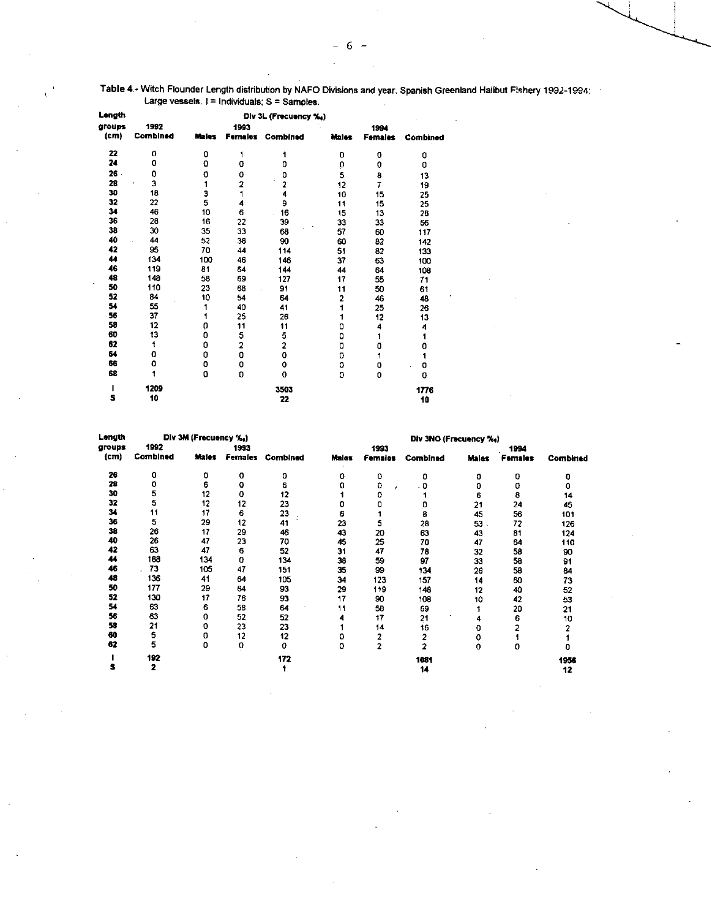| Length            | Div 3L (Frecuency %,) |              |                         |                         |              |                |                 |  |  |  |  |  |
|-------------------|-----------------------|--------------|-------------------------|-------------------------|--------------|----------------|-----------------|--|--|--|--|--|
| groups            | 1992                  |              | 1993                    |                         |              | 1994           |                 |  |  |  |  |  |
| (c <sub>m</sub> ) | Combined              | <b>Males</b> | <b>Females</b>          | Combined                | <b>Males</b> | <b>Females</b> | <b>Combined</b> |  |  |  |  |  |
| 22                | 0                     | 0            | 1                       | 1                       | 0            | 0              | 0               |  |  |  |  |  |
| 24                | 0                     | 0            | 0                       | 0                       | Ò            | 0              | 0               |  |  |  |  |  |
| $26$ .            | 0                     | 0            | 0                       | 0                       | 5            | 8              | 13              |  |  |  |  |  |
| 28                | 3<br>٠                | 1            | $\overline{a}$          | $\overline{\mathbf{c}}$ | 12           | 7              | 19              |  |  |  |  |  |
| 30                | 18                    | З            | 1                       | 4                       | 10           | 15             | 25              |  |  |  |  |  |
| 32                | 22                    | 5            | 4                       | 9                       | 11           | 15             | 25              |  |  |  |  |  |
| 34                | 46                    | 10           | 6                       | 16                      | 15           | 13             | 28              |  |  |  |  |  |
| 36                | 28                    | 16           | 22                      | 39                      | 33           | 33             | 66              |  |  |  |  |  |
| 38                | 30                    | 35           | 33                      | 68                      | 57           | 60             | 117             |  |  |  |  |  |
| 40                | 44                    | 52           | 38                      | 90                      | 60           | 82             | 142             |  |  |  |  |  |
| 42                | 95                    | 70           | 44                      | 114                     | 51           | 82             | 133             |  |  |  |  |  |
| 44                | 134                   | 100          | 46                      | 146                     | 37           | 63             | 100             |  |  |  |  |  |
| 46                | 119                   | 81           | 64                      | 144                     | 44           | 64             | 108             |  |  |  |  |  |
| 48                | 148                   | 58           | 69                      | 127                     | 17           | 55             | 71              |  |  |  |  |  |
| 50                | 110                   | 23           | 68                      | 91                      | 11           | 50             | 61              |  |  |  |  |  |
| 52                | 84                    | 10           | 54                      | 64                      | 2            | 46             | 48              |  |  |  |  |  |
| 54                | 55                    | 1            | 40                      | 41                      | 1            | 25             | 26              |  |  |  |  |  |
| 56                | 37                    |              | 25                      | 26                      | 1            | 12             | 13              |  |  |  |  |  |
| 58                | 12                    | 0            | 11                      | 11                      | 0            | 4              | 4               |  |  |  |  |  |
| 60                | 13                    | 0            | 5                       | 5                       | 0            | 1              |                 |  |  |  |  |  |
| 62                | 1                     | 0            | $\overline{\mathbf{c}}$ | $\overline{\mathbf{c}}$ | 0            | 0              | 0               |  |  |  |  |  |
| 64                | o                     | 0            | o                       | 0                       | 0            | 1              |                 |  |  |  |  |  |
| 66                | 0                     | 0            | 0                       | Ō                       | 0            | 0              | 0               |  |  |  |  |  |
| 68                |                       | 0            | D                       | 0                       | 0            | 0              | 0               |  |  |  |  |  |
|                   | 1209                  |              |                         | 3503                    |              |                | 1776            |  |  |  |  |  |
| S                 | 10                    |              |                         | 22                      |              |                | 10              |  |  |  |  |  |

 $\mathbf{I}$ 

#### Table 4.- Witch Flounder Length distribution by NAFO Divisions and year. Spanish Greenland Halibut Fishery 1992-1994: Large vessels. I = Individuals; S = Samples.

| Length |          | Div 3M (Frecuency %,) |         | Div 3NO (Frecuency %,) |       |                |              |              |         |          |  |  |  |
|--------|----------|-----------------------|---------|------------------------|-------|----------------|--------------|--------------|---------|----------|--|--|--|
| groups | 1992     |                       | 1993    |                        |       | 1993           |              |              | 1994    |          |  |  |  |
| (cm)   | Combined | Males                 | Females | Combined               | Males | <b>Females</b> | Combined     | <b>Males</b> | Females | Combined |  |  |  |
| 26     | 0        | 0                     | 0       | 0                      | ٥     | 0              | 0            | 0            | 0       | 0        |  |  |  |
| 28     | 0        | 6                     | 0       | 6                      | 0     | 0<br>×         | . 0          | 0            | 0       | ٥        |  |  |  |
| 30     | 5        | 12                    | o       | 12                     |       | 0              |              | 6            | 8       | 14       |  |  |  |
| 32     | 5        | 12                    | 12      | 23                     | 0     | 0              | ٥            | 21           | 24      | 45       |  |  |  |
| 34     | 11       | 17                    | 6       | 23                     | 6     |                | 8            | 45           | 56      | 101      |  |  |  |
| 36     | 5        | 29                    | 12      | 41                     | 23    | 5              | 28           | 53.          | 72      | 126      |  |  |  |
| 38     | 26       | 17                    | 29      | 46                     | 43    | 20             | 63           | 43           | 81      | 124      |  |  |  |
| 40     | 26       | 47                    | 23      | 70                     | 45    | 25             | 70           | 47           | 64      | 110      |  |  |  |
| 42     | 63       | 47                    | 6       | 52                     | 31    | 47             | 78           | 32           | 58      | 90       |  |  |  |
| 44     | 188      | 134                   | o       | 134                    | 38    | 59             | 97           | 33           | 58      | 91       |  |  |  |
| 46     | 73       | 105                   | 47      | 151                    | 35    | 99             | 134          | 26           | 58      | 84       |  |  |  |
| 48     | 136      | 41                    | 64      | 105                    | 34    | 123            | 157          | 14           | 60      | 73       |  |  |  |
| 50     | 177      | 29                    | 64      | 93                     | 29    | 119            | 148          | 12           | 40      | 52       |  |  |  |
| 52     | 130      | 17                    | 76      | 93                     | 17    | 90             | 108          | 10           | 42      | 53       |  |  |  |
| 54     | 63       | 6                     | 58      | 64                     | 11    | 58             | 69           |              | 20      | 21       |  |  |  |
| 56     | 63       | 0                     | 52      | 52                     | 4     | 17             | 21           | 4            | 6       | 10       |  |  |  |
| 58     | 21       | 0                     | 23      | 23                     |       | 14             | 16           | 0            |         |          |  |  |  |
| 60     | 5        | 0                     | 12      | 12                     | 0     | 2              | 2            | ٥            |         |          |  |  |  |
| 62     | 5        | 0                     | o       | o                      | ٥     | $\overline{a}$ | $\mathbf{z}$ | 0            | 0       | 0        |  |  |  |
|        | 192      |                       |         | 172                    |       |                | 1081         |              |         | 1956     |  |  |  |
| s      | 2        |                       |         |                        |       |                | 14           |              |         | 12       |  |  |  |

6  $\overline{\phantom{a}}$  $\overline{a}$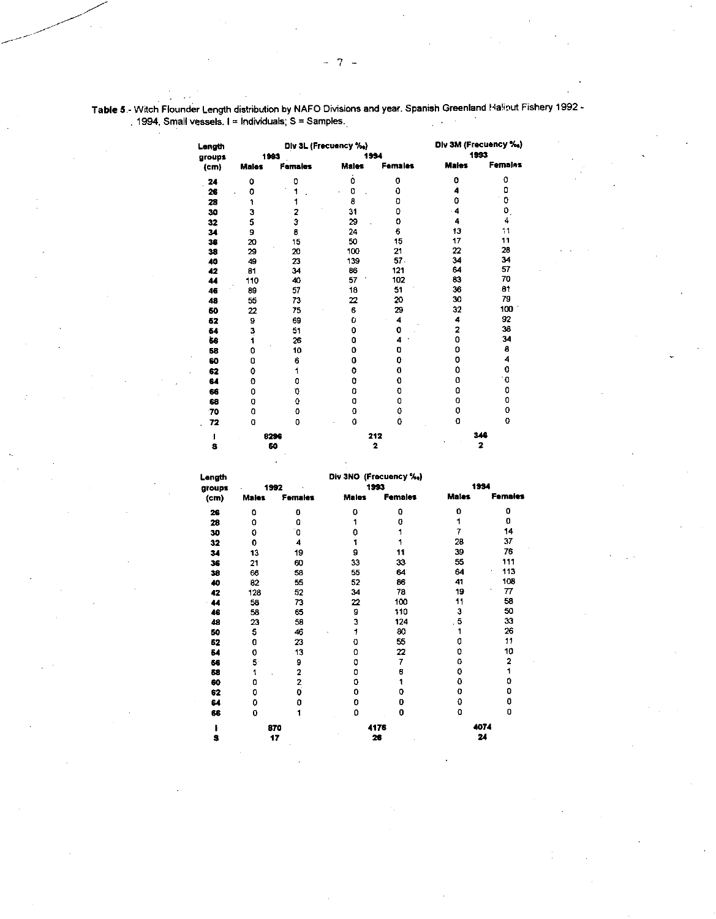| Length            |              | Div 3L (Frecuency %,) | Div 3M (Frecuency %) |                |                |                         |
|-------------------|--------------|-----------------------|----------------------|----------------|----------------|-------------------------|
| groups            |              | 1993                  |                      | 1994           |                | 1993                    |
| (c <sub>m</sub> ) | <b>Males</b> | <b>Females</b>        | <b>Males</b>         | Females        | <b>Males</b>   | Females                 |
| 24                | 0            | 0                     | 0                    | 0              | 0              | 0                       |
| 26                | 0            | 1                     | 0                    | 0              | 4              | 0                       |
| 28                | 1            | 1                     | 8                    | O              | 0              | 0                       |
| 30                | 3            | 2                     | 31                   | 0              | - 4            | ٥.                      |
| 32                | 5            | 3                     | 29                   | 0              | 4              | 4                       |
| 34                | 9            | 8                     | 24                   | 6              | 13             | 11                      |
| 36                | 20           | 15                    | 50                   | 15             | 17             | 11                      |
| 38                | 29           | 20                    | 100                  | 21             | 22             | 28                      |
| 40                | 49           | 23                    | 139                  | 57.            | 34             | 34                      |
| 42                | 81           | 34                    | 86                   | 121            | 64             | 57                      |
| 44                | 110          | 40                    | 57                   | 102            | 83             | 70                      |
| 46                | 89           | 57                    | 18                   | 51             | 36             | 81                      |
| 48                | 55           | 73                    | 22                   | 20             | 30             | 79                      |
| 60                | 22           | 75                    | 6                    | 29             | 32             | 100                     |
| 52                | 9            | 69                    | 0                    | 4              | 4              | 92                      |
| 54                | 3<br>1       | 51                    | 0                    | O              | $\overline{a}$ | 38                      |
| 56                |              | 26                    | 0                    | 4              | 0              | 34                      |
| 58                | 0            | 10                    | 0                    | O              | 0              | 8                       |
| 60                | 0            | 6                     | 0                    | ٥              | 0              | 4                       |
| 62                | 0            | 1                     | 0                    | 0              | 0              | 0                       |
| 64                | 0            | 0                     | 0                    | Ō              | 0              | .0                      |
| 66                | 0            | Ó                     | 0                    | 0              | ٥              | 0                       |
| 68                | 0            | 0                     | O                    | 0              | 0              | 0                       |
| 70                | 0            | 0                     | 0                    | 0              | 0              | 0                       |
| 72                | O            | 0                     | 0                    | Ó              | 0              | 0                       |
|                   |              | 8296                  |                      | 212            |                | 348                     |
| S                 |              | 60                    |                      | $\overline{a}$ |                | $\overline{\mathbf{2}}$ |

Table 5.- Witch Flounder Length distribution by NAFO Divisions and year. Spanish Greenland Halinut Fishery 1992 - . 1994, Small vessels. I = Individuals; S = Samples.

| Length | Div 3NO (Frecuency %.) |         |         |                |       |                |  |  |  |  |  |
|--------|------------------------|---------|---------|----------------|-------|----------------|--|--|--|--|--|
| groups |                        | 1992    |         | 1993           |       | 1934           |  |  |  |  |  |
| (cm)   | <b>Males</b>           | Females | Males   | <b>Females</b> | Males | <b>Females</b> |  |  |  |  |  |
| 26     | 0                      | 0       | 0       | o              | 0     | 0              |  |  |  |  |  |
| 28     | 0                      | Q       |         | 0              | 1     | 0              |  |  |  |  |  |
| 30     | 0                      | ٦ο      | ٥       |                | 7     | 14             |  |  |  |  |  |
| 32     | 0                      | 4       |         |                | 28    | 37             |  |  |  |  |  |
| 34     | 13                     | 19      | 9       | 11             | 39    | 76             |  |  |  |  |  |
| 36     | 21                     | 60      | 33      | 33.            | 55    | 111            |  |  |  |  |  |
| 38     | 66                     | 58      | 55      | 64             | 64    | 113<br>٠       |  |  |  |  |  |
| 40     | 82                     | 55      | 52      | 86             | 41    | 108            |  |  |  |  |  |
| 42     | 128                    | 52      | 34      | 78             | 19    | 77             |  |  |  |  |  |
| 44     | 58                     | 73      | 22      | 100            | 11    | 58             |  |  |  |  |  |
| 46     | 58                     | 65      | 9       | 110            | 3     | 50             |  |  |  |  |  |
| 48     | 23                     | 58      | 3       | 124            | 5     | 33             |  |  |  |  |  |
| 50     | 5                      | 46      | 1<br>Ň, | 80             |       | 26             |  |  |  |  |  |
| 62     | 0                      | 23      | 0       | 55             | ٥     | 11             |  |  |  |  |  |
| 54     | 0                      | 13      | 0       | 22             | o     | 10             |  |  |  |  |  |
| 66     | 5.                     | 9       | ٥       | 7              | 0     | 2              |  |  |  |  |  |
| 68     | 1                      | 2       | ٥       | 6              | ٥     | 1              |  |  |  |  |  |
| 60     | 0                      | 2       | 0       |                | ٥     | 0              |  |  |  |  |  |
| 62     | 0                      | o       | 0       | 0              | 0     | 0              |  |  |  |  |  |
| 64     | 0                      | 0       | 0       | 0              | 0     | 0              |  |  |  |  |  |
| 68     | 0                      | 1       | 0       | 0              | O     | 0              |  |  |  |  |  |
|        |                        | 870     |         | 4176           | 4074  |                |  |  |  |  |  |
| s      |                        | 17      |         | 26             |       | 24             |  |  |  |  |  |

**17 26 24**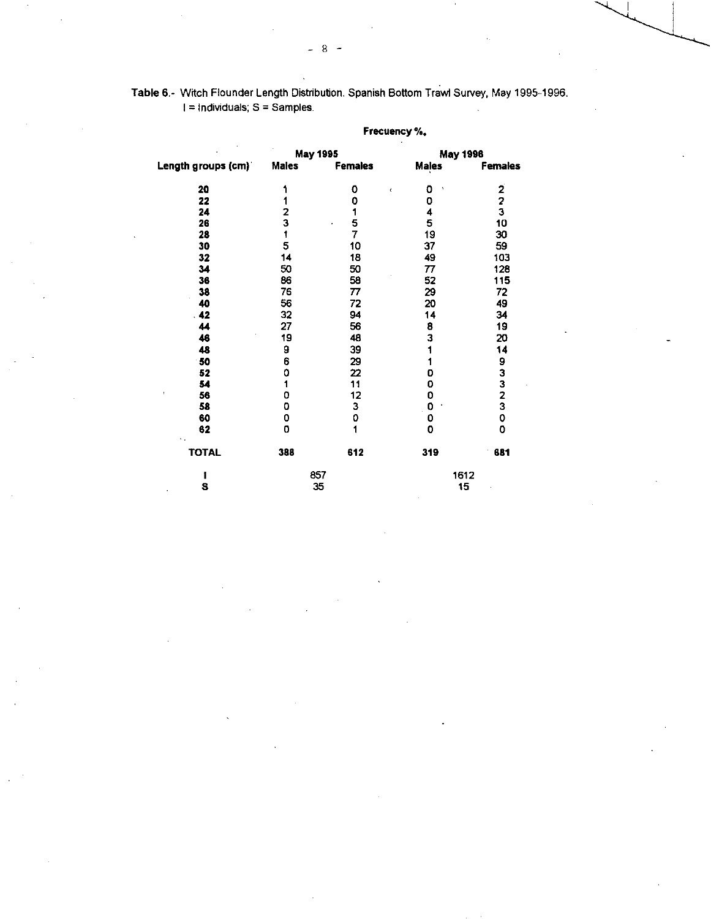|                     | <b>Frecuency 76.</b> |                 |              |                 |  |  |  |  |  |
|---------------------|----------------------|-----------------|--------------|-----------------|--|--|--|--|--|
|                     |                      | <b>May 1995</b> |              | <b>May 1996</b> |  |  |  |  |  |
| Length groups (cm)" | <b>Males</b>         | <b>Females</b>  | <b>Males</b> | <b>Females</b>  |  |  |  |  |  |
| 20                  | 1                    | 0<br>$\bar{t}$  | o<br>٠       |                 |  |  |  |  |  |
| 22                  | 1                    | 0               | 0            | $\frac{2}{3}$   |  |  |  |  |  |
| 24                  |                      | 1               | 4            |                 |  |  |  |  |  |
| 26                  | $\frac{2}{3}$        | $\frac{5}{7}$   | 5            | 10              |  |  |  |  |  |
| 28                  | f                    |                 | 19           | 30              |  |  |  |  |  |
| 30                  | 5                    | 10              | 37           | 59              |  |  |  |  |  |
| 32                  | 14                   | 18              | 49           | 103             |  |  |  |  |  |
| 34                  | 50                   | 50              | 77           | 128             |  |  |  |  |  |
| 36                  | 86                   | 58              | 52           | 115             |  |  |  |  |  |
| 38                  | 76                   | 77              | 29           | 72              |  |  |  |  |  |
| 40                  | 56                   | 72              | 20           | 49              |  |  |  |  |  |
| $\overline{1}$      | 32                   | 94              | 14           | 34              |  |  |  |  |  |
| 44                  | 27                   | 56              | 8            | 19              |  |  |  |  |  |
| 46                  | 19                   | 48              | 3            | 20              |  |  |  |  |  |
| 48                  | 9                    | 39              | 1            | 14              |  |  |  |  |  |
| 50                  | 6                    | 29              | 1            |                 |  |  |  |  |  |
| 52                  | 0                    | 22              | 0            |                 |  |  |  |  |  |
| 54                  | 1                    | 11              | 0            |                 |  |  |  |  |  |
| $\pmb{\cdot}$<br>56 | 0                    | 12              | 0            | 93323           |  |  |  |  |  |
| 58                  | 0                    | 3               | 0            |                 |  |  |  |  |  |
| 60                  | 0                    | 0               | 0            | O               |  |  |  |  |  |
| 62                  | 0                    | 1               | 0            | O               |  |  |  |  |  |
| <b>TOTAL</b>        | 388                  | 612             | 319          | 681             |  |  |  |  |  |
| 1                   |                      | 857             |              | 1612            |  |  |  |  |  |
| S                   |                      | 35              | 15           |                 |  |  |  |  |  |

### **Frecuency**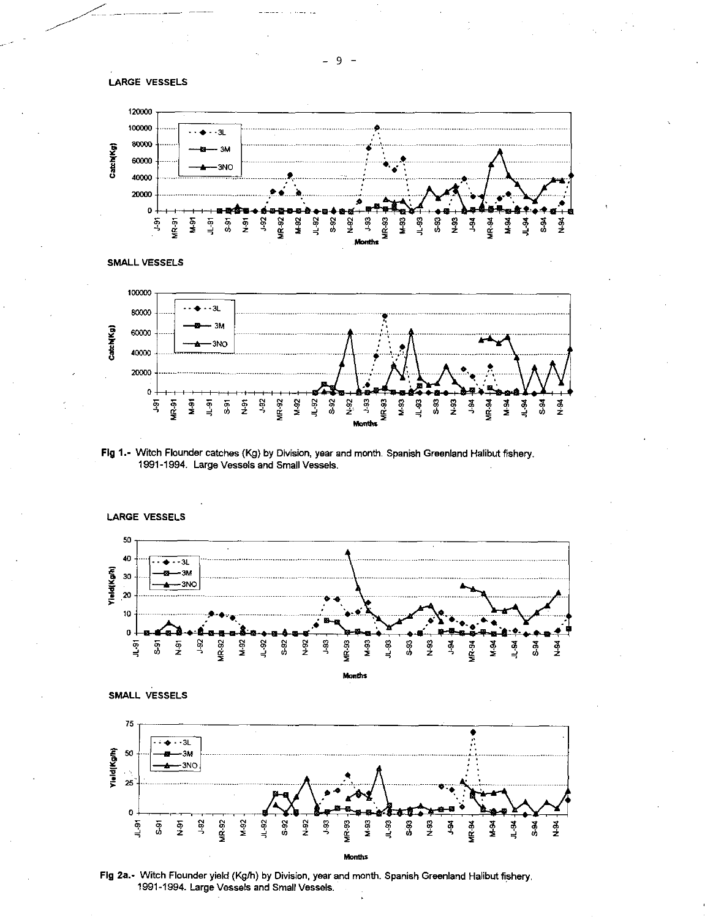



SMALL VESSELS



Fig 1.- Witch Flounder catches (Kg) by Division, year and month. Spanish Greenland Halibut fishery. 1991-1994. Large Vessels and Small Vessels.







Fig 2a.- Witch Flounder yield (Kg/h) by Division, year and month. Spanish Greenland Halibut fishery. 1991-1994. Large Vessels and Small Vessels.

9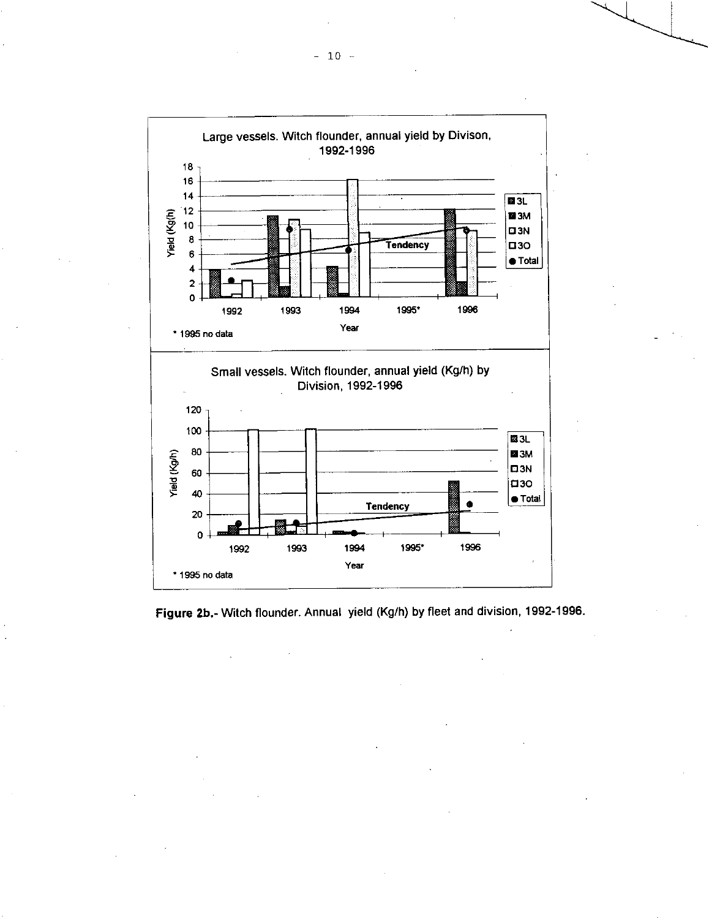

**Figure 2b.-** Witch flounder. Annual yield (Kg/h) by fleet and division, 1992-1996.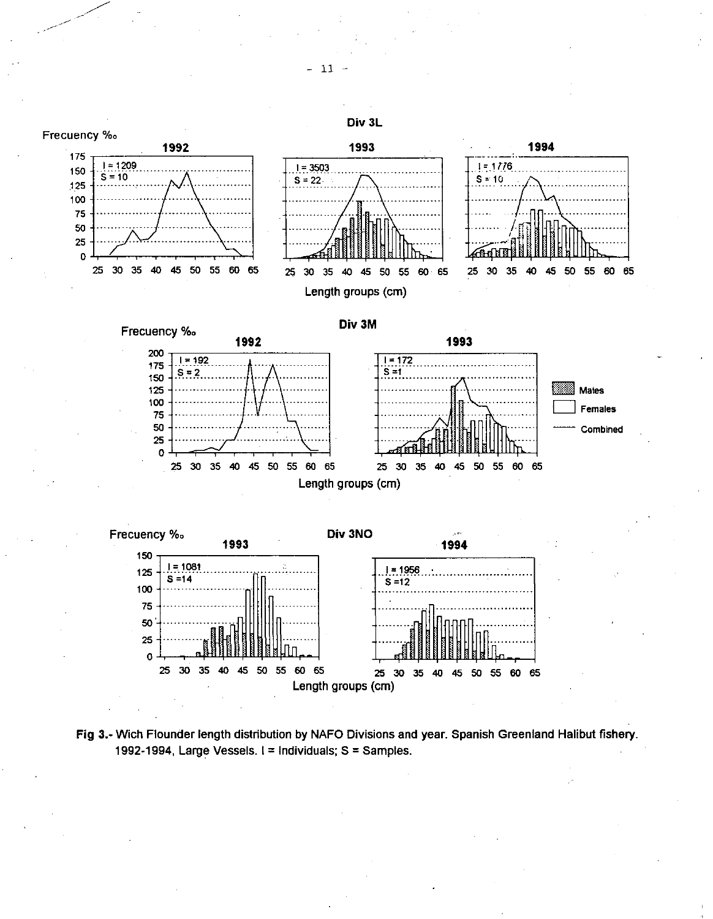



 $-11$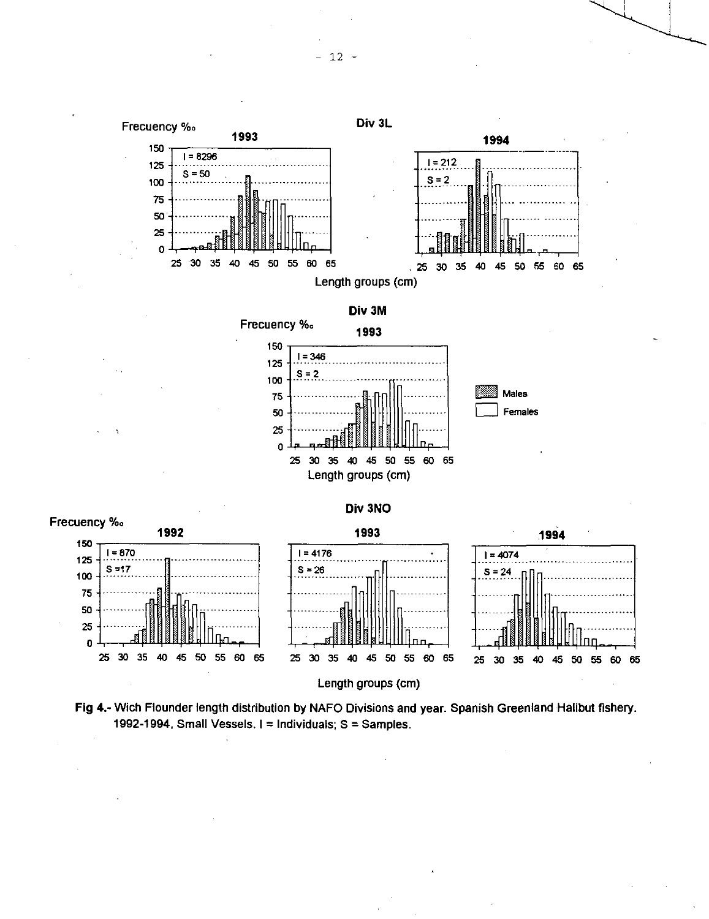

Length groups (cm)

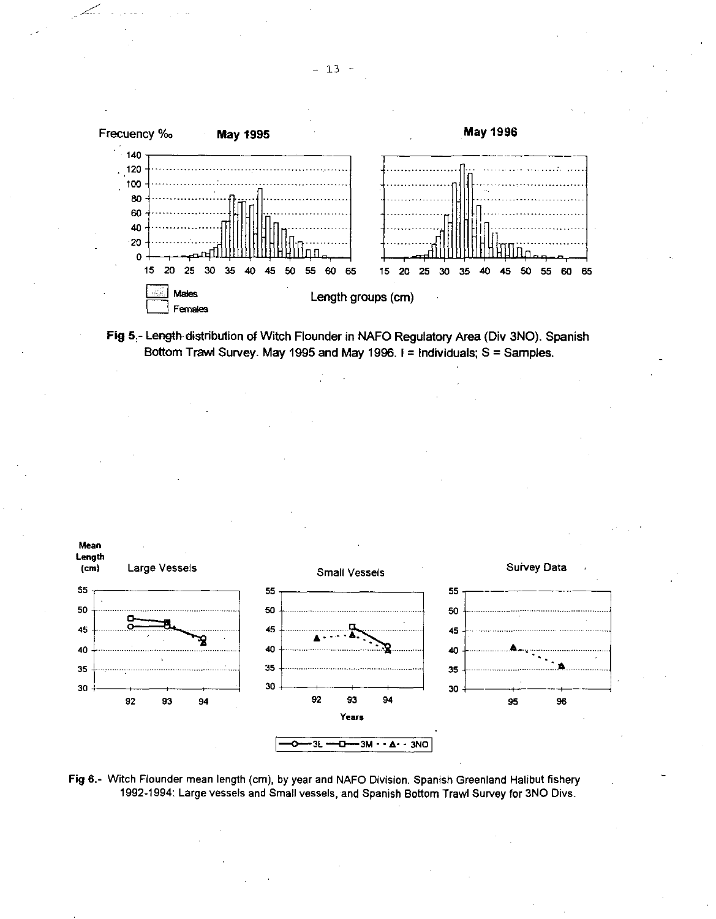





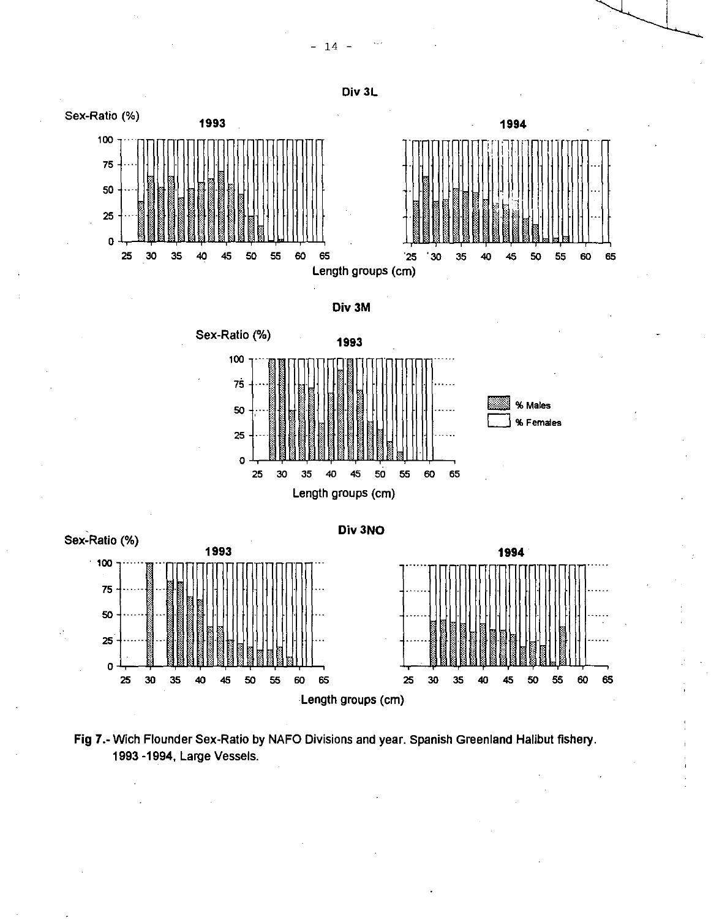



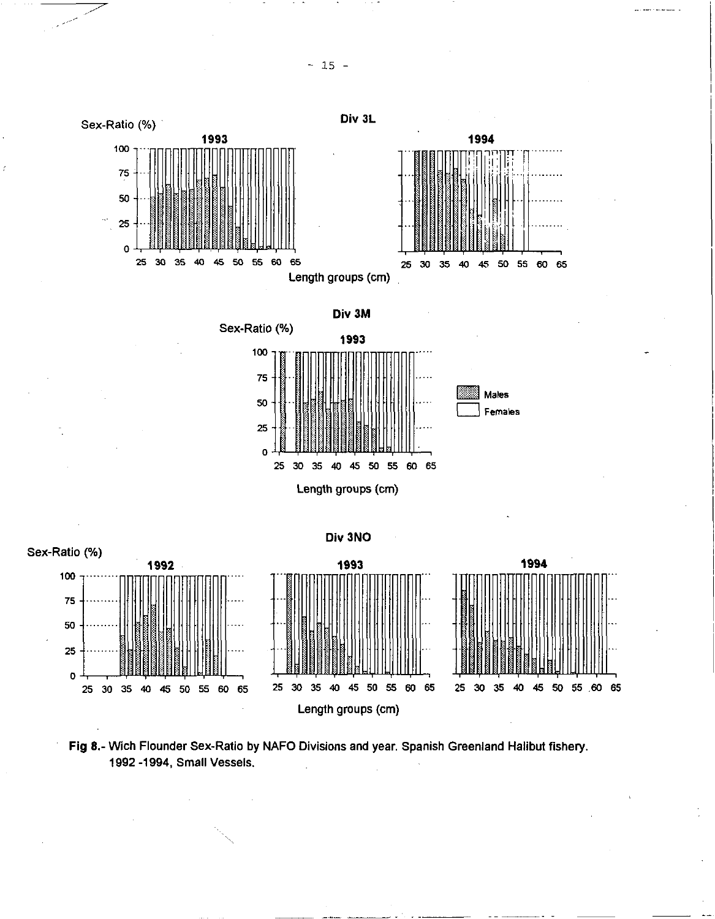